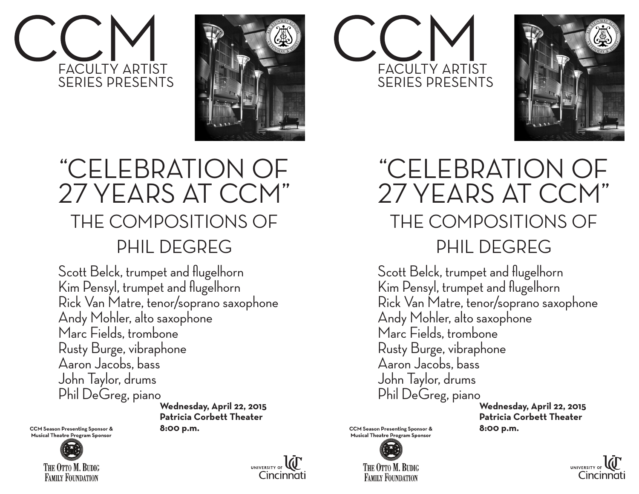



### FACULTY ARTIST SERIES PRESENTS



### "CELEBRATION OF 27 YEARS AT CCM" THE COMPOSITIONS OF PHIL DEGREG

Scott Belck, trumpet and flugelhorn Kim Pensyl, trumpet and flugelhorn Rick Van Matre, tenor/soprano saxophone Andy Mohler, alto saxophone Marc Fields, trombone Rusty Burge, vibraphone Aaron Jacobs, bass John Taylor, drums Phil DeGreg, piano

 **Wednesday, April 22, 2015 Patricia Corbett Theater**

CCM Season Presenting Sponsor & **8:00 p.m.**<br>
Musical Theatre Program Sponsor





#### "CELEBRATION OF 27 YEARS AT CCM" THE COMPOSITIONS OF PHIL DEGREG

Scott Belck, trumpet and flugelhorn Kim Pensyl, trumpet and flugelhorn Rick Van Matre, tenor/soprano saxophone Andy Mohler, alto saxophone Marc Fields, trombone Rusty Burge, vibraphone Aaron Jacobs, bass John Taylor, drums Phil DeGreg, piano

 **Wednesday, April 22, 2015 Patricia Corbett Theater**

CCM Season Presenting Sponsor & **8:00 p.m.**<br>
Musical Theatre Program Sponsor